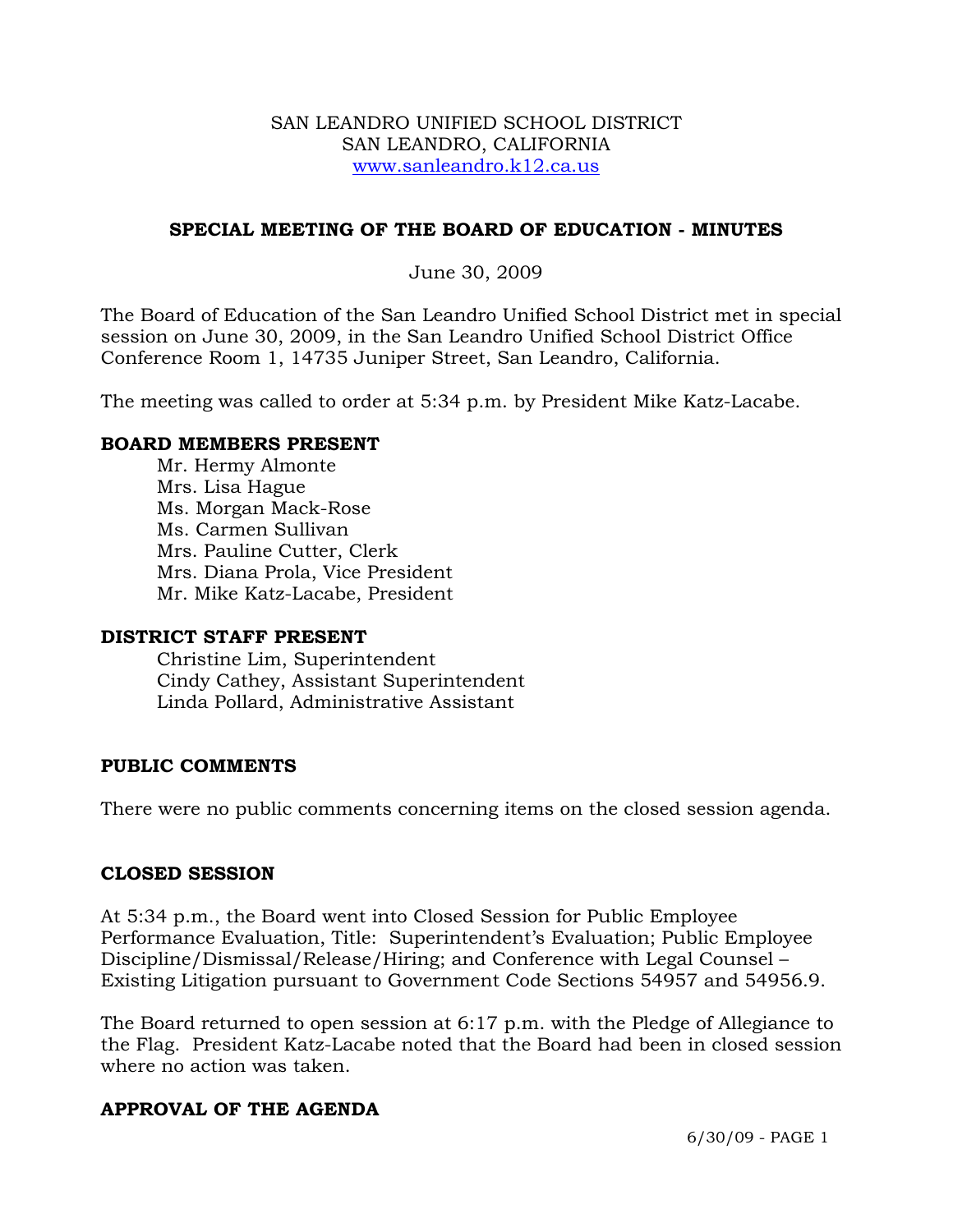### SAN LEANDRO UNIFIED SCHOOL DISTRICT SAN LEANDRO, CALIFORNIA www.sanleandro.k12.ca.us

## **SPECIAL MEETING OF THE BOARD OF EDUCATION - MINUTES**

June 30, 2009

The Board of Education of the San Leandro Unified School District met in special session on June 30, 2009, in the San Leandro Unified School District Office Conference Room 1, 14735 Juniper Street, San Leandro, California.

The meeting was called to order at 5:34 p.m. by President Mike Katz-Lacabe.

### **BOARD MEMBERS PRESENT**

Mr. Hermy Almonte Mrs. Lisa Hague Ms. Morgan Mack-Rose Ms. Carmen Sullivan Mrs. Pauline Cutter, Clerk Mrs. Diana Prola, Vice President Mr. Mike Katz-Lacabe, President

### **DISTRICT STAFF PRESENT**

Christine Lim, Superintendent Cindy Cathey, Assistant Superintendent Linda Pollard, Administrative Assistant

## **PUBLIC COMMENTS**

There were no public comments concerning items on the closed session agenda.

### **CLOSED SESSION**

At 5:34 p.m., the Board went into Closed Session for Public Employee Performance Evaluation, Title: Superintendent's Evaluation; Public Employee Discipline/Dismissal/Release/Hiring; and Conference with Legal Counsel – Existing Litigation pursuant to Government Code Sections 54957 and 54956.9.

The Board returned to open session at 6:17 p.m. with the Pledge of Allegiance to the Flag. President Katz-Lacabe noted that the Board had been in closed session where no action was taken.

## **APPROVAL OF THE AGENDA**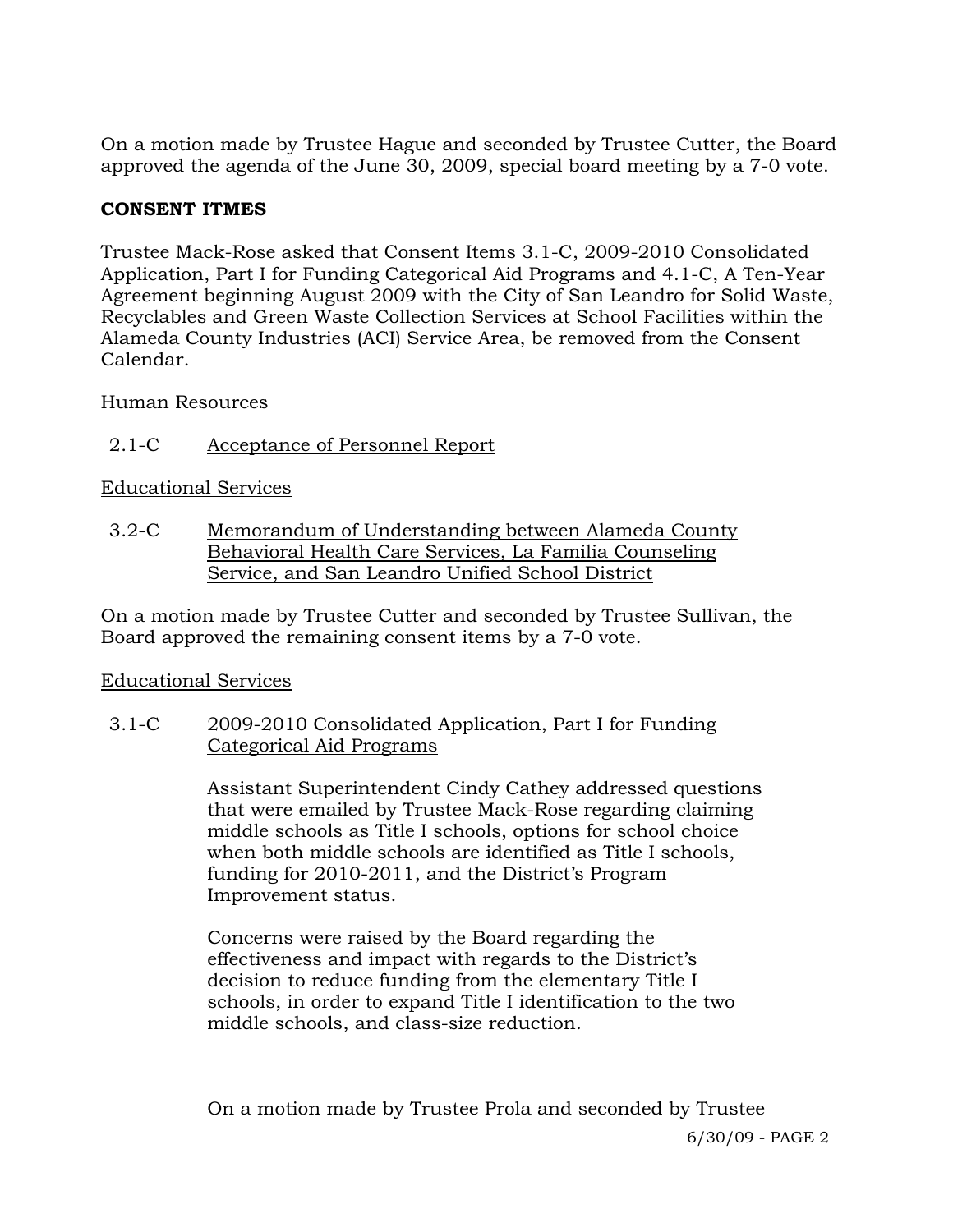On a motion made by Trustee Hague and seconded by Trustee Cutter, the Board approved the agenda of the June 30, 2009, special board meeting by a 7-0 vote.

## **CONSENT ITMES**

Trustee Mack-Rose asked that Consent Items 3.1-C, 2009-2010 Consolidated Application, Part I for Funding Categorical Aid Programs and 4.1-C, A Ten-Year Agreement beginning August 2009 with the City of San Leandro for Solid Waste, Recyclables and Green Waste Collection Services at School Facilities within the Alameda County Industries (ACI) Service Area, be removed from the Consent Calendar.

## Human Resources

# 2.1-C Acceptance of Personnel Report

## Educational Services

3.2-C Memorandum of Understanding between Alameda County Behavioral Health Care Services, La Familia Counseling Service, and San Leandro Unified School District

On a motion made by Trustee Cutter and seconded by Trustee Sullivan, the Board approved the remaining consent items by a 7-0 vote.

## Educational Services

## 3.1-C 2009-2010 Consolidated Application, Part I for Funding Categorical Aid Programs

Assistant Superintendent Cindy Cathey addressed questions that were emailed by Trustee Mack-Rose regarding claiming middle schools as Title I schools, options for school choice when both middle schools are identified as Title I schools, funding for 2010-2011, and the District's Program Improvement status.

Concerns were raised by the Board regarding the effectiveness and impact with regards to the District's decision to reduce funding from the elementary Title I schools, in order to expand Title I identification to the two middle schools, and class-size reduction.

On a motion made by Trustee Prola and seconded by Trustee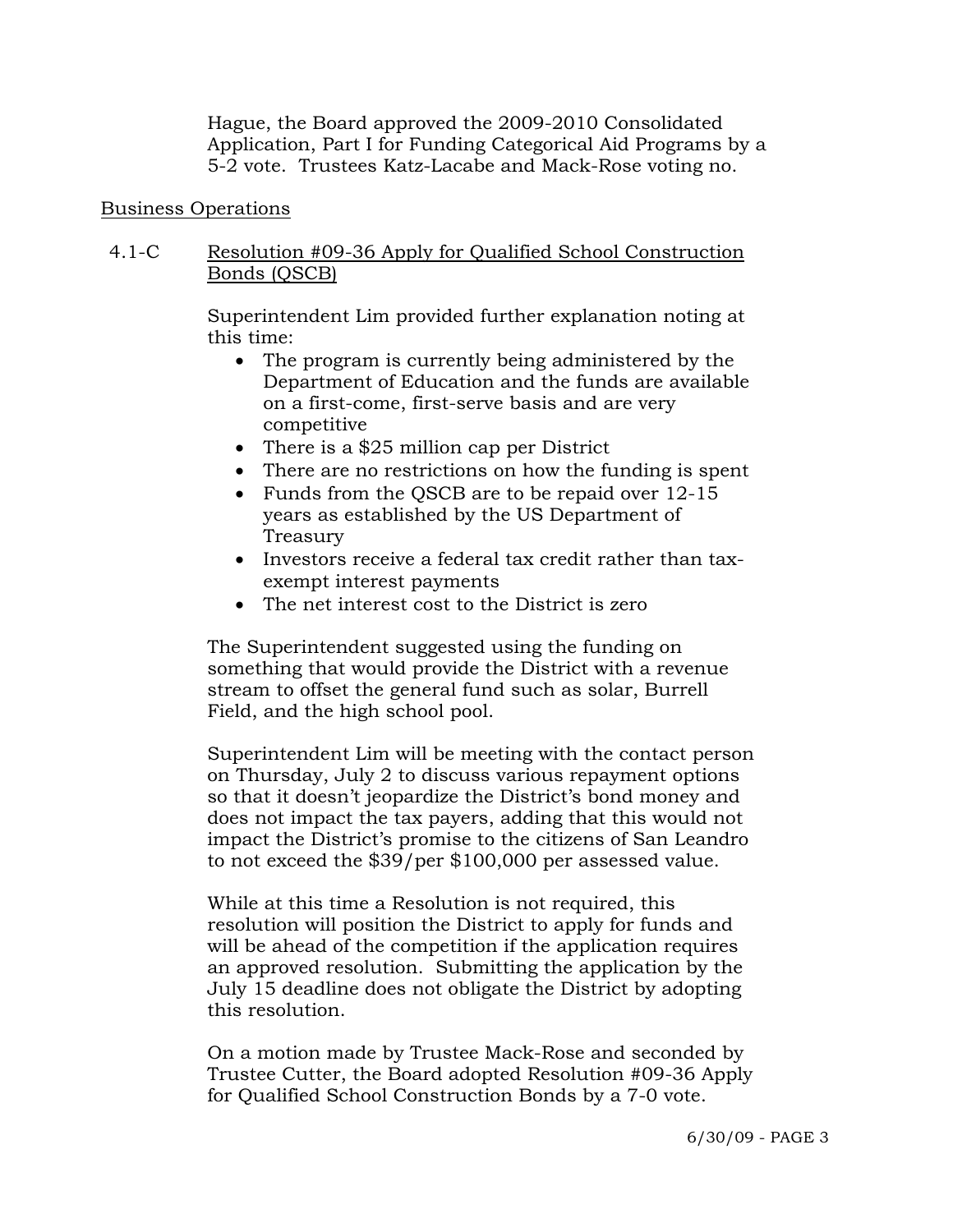Hague, the Board approved the 2009-2010 Consolidated Application, Part I for Funding Categorical Aid Programs by a 5-2 vote. Trustees Katz-Lacabe and Mack-Rose voting no.

### Business Operations

## 4.1-C Resolution #09-36 Apply for Qualified School Construction Bonds (QSCB)

Superintendent Lim provided further explanation noting at this time:

- The program is currently being administered by the Department of Education and the funds are available on a first-come, first-serve basis and are very competitive
- There is a \$25 million cap per District
- There are no restrictions on how the funding is spent
- Funds from the QSCB are to be repaid over 12-15 years as established by the US Department of Treasury
- Investors receive a federal tax credit rather than taxexempt interest payments
- The net interest cost to the District is zero

The Superintendent suggested using the funding on something that would provide the District with a revenue stream to offset the general fund such as solar, Burrell Field, and the high school pool.

Superintendent Lim will be meeting with the contact person on Thursday, July 2 to discuss various repayment options so that it doesn't jeopardize the District's bond money and does not impact the tax payers, adding that this would not impact the District's promise to the citizens of San Leandro to not exceed the \$39/per \$100,000 per assessed value.

While at this time a Resolution is not required, this resolution will position the District to apply for funds and will be ahead of the competition if the application requires an approved resolution. Submitting the application by the July 15 deadline does not obligate the District by adopting this resolution.

On a motion made by Trustee Mack-Rose and seconded by Trustee Cutter, the Board adopted Resolution #09-36 Apply for Qualified School Construction Bonds by a 7-0 vote.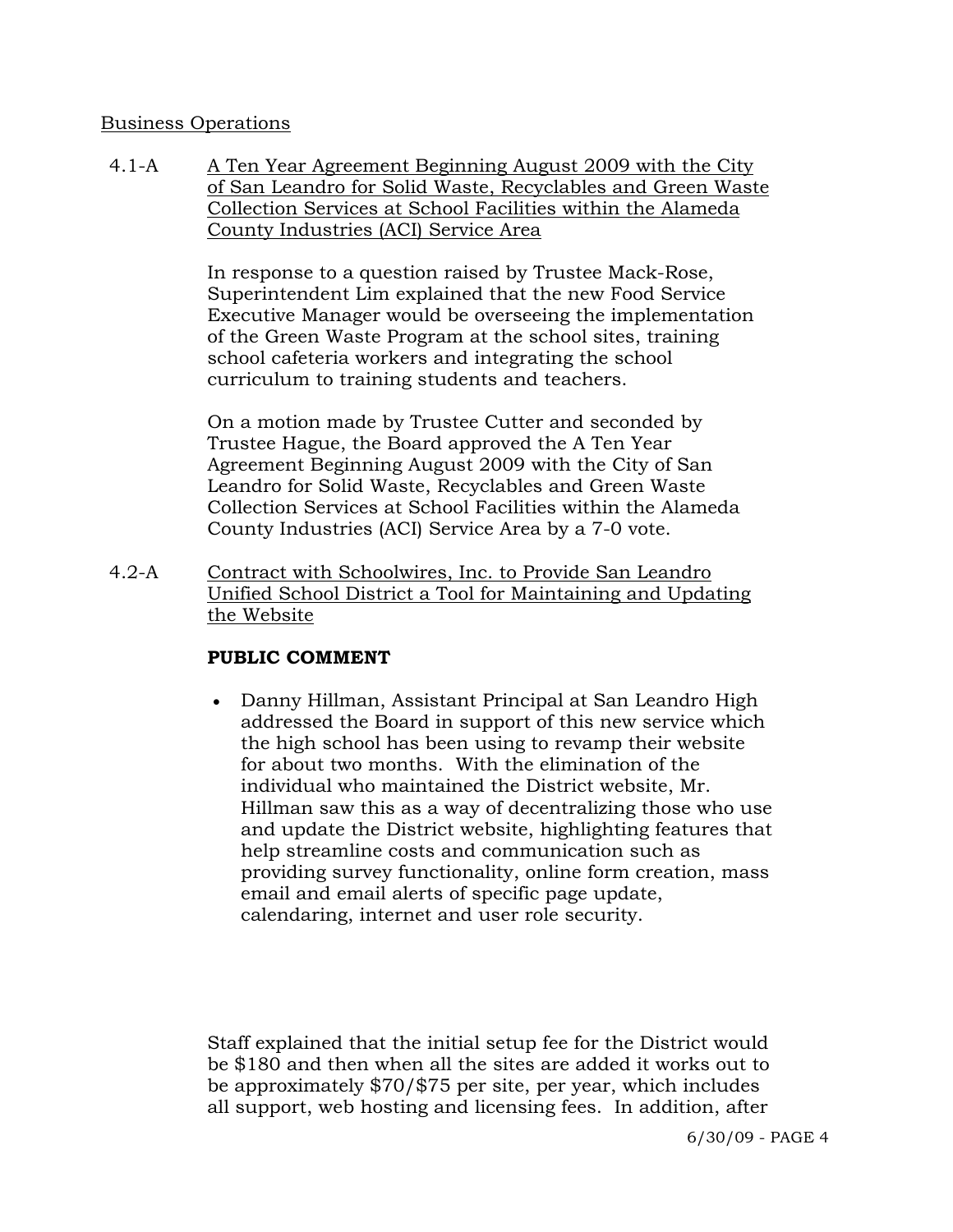### Business Operations

4.1-A A Ten Year Agreement Beginning August 2009 with the City of San Leandro for Solid Waste, Recyclables and Green Waste Collection Services at School Facilities within the Alameda County Industries (ACI) Service Area

> In response to a question raised by Trustee Mack-Rose, Superintendent Lim explained that the new Food Service Executive Manager would be overseeing the implementation of the Green Waste Program at the school sites, training school cafeteria workers and integrating the school curriculum to training students and teachers.

On a motion made by Trustee Cutter and seconded by Trustee Hague, the Board approved the A Ten Year Agreement Beginning August 2009 with the City of San Leandro for Solid Waste, Recyclables and Green Waste Collection Services at School Facilities within the Alameda County Industries (ACI) Service Area by a 7-0 vote.

4.2-A Contract with Schoolwires, Inc. to Provide San Leandro Unified School District a Tool for Maintaining and Updating the Website

## **PUBLIC COMMENT**

• Danny Hillman, Assistant Principal at San Leandro High addressed the Board in support of this new service which the high school has been using to revamp their website for about two months. With the elimination of the individual who maintained the District website, Mr. Hillman saw this as a way of decentralizing those who use and update the District website, highlighting features that help streamline costs and communication such as providing survey functionality, online form creation, mass email and email alerts of specific page update, calendaring, internet and user role security.

Staff explained that the initial setup fee for the District would be \$180 and then when all the sites are added it works out to be approximately \$70/\$75 per site, per year, which includes all support, web hosting and licensing fees. In addition, after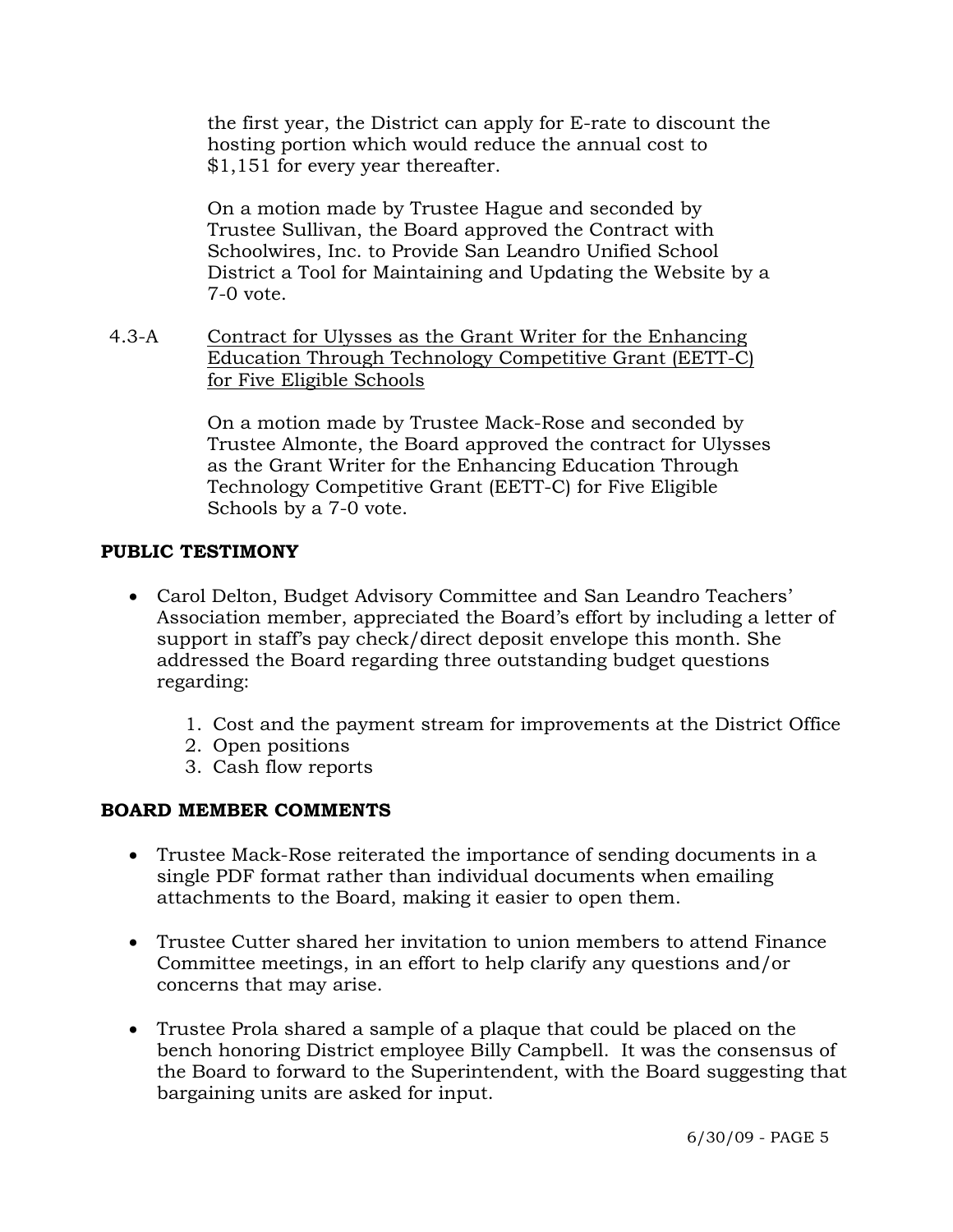the first year, the District can apply for E-rate to discount the hosting portion which would reduce the annual cost to \$1,151 for every year thereafter.

On a motion made by Trustee Hague and seconded by Trustee Sullivan, the Board approved the Contract with Schoolwires, Inc. to Provide San Leandro Unified School District a Tool for Maintaining and Updating the Website by a 7-0 vote.

4.3-A Contract for Ulysses as the Grant Writer for the Enhancing Education Through Technology Competitive Grant (EETT-C) for Five Eligible Schools

> On a motion made by Trustee Mack-Rose and seconded by Trustee Almonte, the Board approved the contract for Ulysses as the Grant Writer for the Enhancing Education Through Technology Competitive Grant (EETT-C) for Five Eligible Schools by a 7-0 vote.

## **PUBLIC TESTIMONY**

- Carol Delton, Budget Advisory Committee and San Leandro Teachers' Association member, appreciated the Board's effort by including a letter of support in staff's pay check/direct deposit envelope this month. She addressed the Board regarding three outstanding budget questions regarding:
	- 1. Cost and the payment stream for improvements at the District Office
	- 2. Open positions
	- 3. Cash flow reports

## **BOARD MEMBER COMMENTS**

- Trustee Mack-Rose reiterated the importance of sending documents in a single PDF format rather than individual documents when emailing attachments to the Board, making it easier to open them.
- Trustee Cutter shared her invitation to union members to attend Finance Committee meetings, in an effort to help clarify any questions and/or concerns that may arise.
- Trustee Prola shared a sample of a plaque that could be placed on the bench honoring District employee Billy Campbell. It was the consensus of the Board to forward to the Superintendent, with the Board suggesting that bargaining units are asked for input.